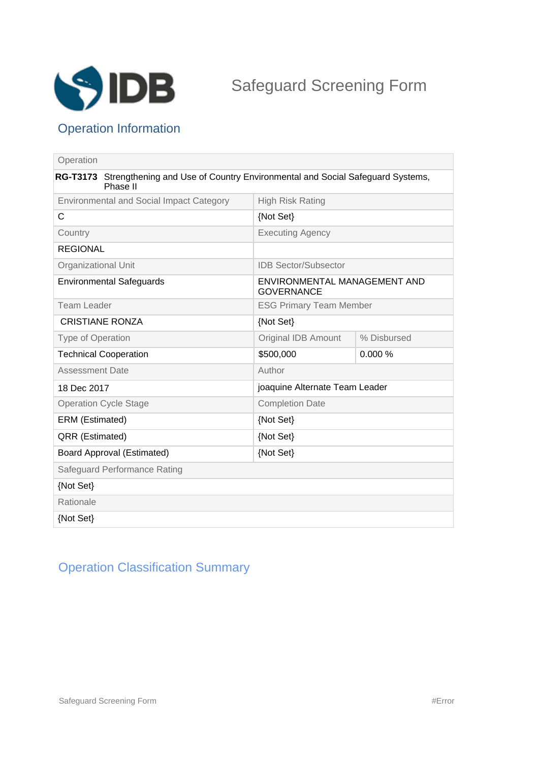

## Operation Information

| Operation                                                                                         |                                                   |             |
|---------------------------------------------------------------------------------------------------|---------------------------------------------------|-------------|
| RG-T3173 Strengthening and Use of Country Environmental and Social Safeguard Systems,<br>Phase II |                                                   |             |
| <b>Environmental and Social Impact Category</b>                                                   | <b>High Risk Rating</b>                           |             |
| C                                                                                                 | {Not Set}                                         |             |
| Country                                                                                           | <b>Executing Agency</b>                           |             |
| <b>REGIONAL</b>                                                                                   |                                                   |             |
| <b>Organizational Unit</b>                                                                        | <b>IDB Sector/Subsector</b>                       |             |
| <b>Environmental Safeguards</b>                                                                   | ENVIRONMENTAL MANAGEMENT AND<br><b>GOVERNANCE</b> |             |
| Team Leader                                                                                       | <b>ESG Primary Team Member</b>                    |             |
| <b>CRISTIANE RONZA</b>                                                                            | {Not Set}                                         |             |
| Type of Operation                                                                                 | <b>Original IDB Amount</b>                        | % Disbursed |
| <b>Technical Cooperation</b>                                                                      | \$500,000                                         | 0.000%      |
| <b>Assessment Date</b>                                                                            | Author                                            |             |
| 18 Dec 2017                                                                                       | joaquine Alternate Team Leader                    |             |
| <b>Operation Cycle Stage</b>                                                                      | <b>Completion Date</b>                            |             |
| ERM (Estimated)                                                                                   | {Not Set}                                         |             |
| QRR (Estimated)                                                                                   | {Not Set}                                         |             |
| <b>Board Approval (Estimated)</b>                                                                 | {Not Set}                                         |             |
| Safeguard Performance Rating                                                                      |                                                   |             |
| {Not Set}                                                                                         |                                                   |             |
| Rationale                                                                                         |                                                   |             |
| {Not Set}                                                                                         |                                                   |             |

## Operation Classification Summary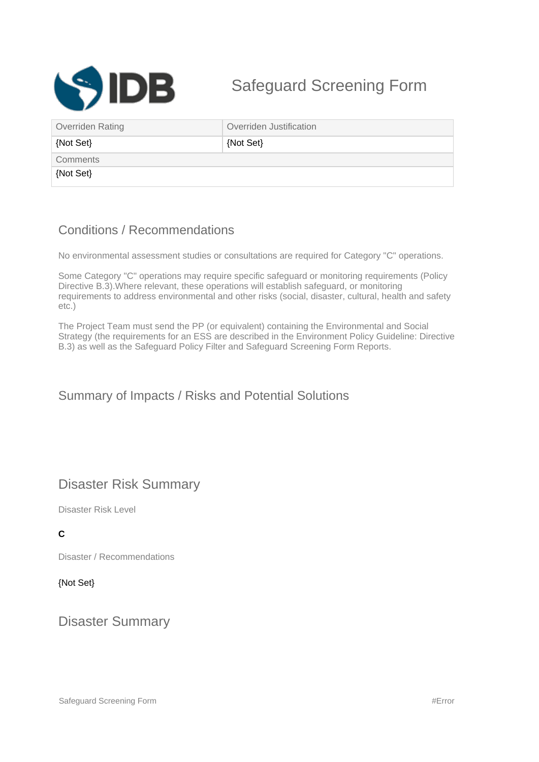

# Safeguard Screening Form

| Overriden Rating | Overriden Justification |
|------------------|-------------------------|
| {Not Set}        | {Not Set}               |
| Comments         |                         |
| {Not Set}        |                         |

### Conditions / Recommendations

No environmental assessment studies or consultations are required for Category "C" operations.

Some Category "C" operations may require specific safeguard or monitoring requirements (Policy Directive B.3).Where relevant, these operations will establish safeguard, or monitoring requirements to address environmental and other risks (social, disaster, cultural, health and safety etc.)

The Project Team must send the PP (or equivalent) containing the Environmental and Social Strategy (the requirements for an ESS are described in the Environment Policy Guideline: Directive B.3) as well as the Safeguard Policy Filter and Safeguard Screening Form Reports.

#### Summary of Impacts / Risks and Potential Solutions

### Disaster Risk Summary

Disaster Risk Level

#### **C**

Disaster / Recommendations

#### {Not Set}

Disaster Summary